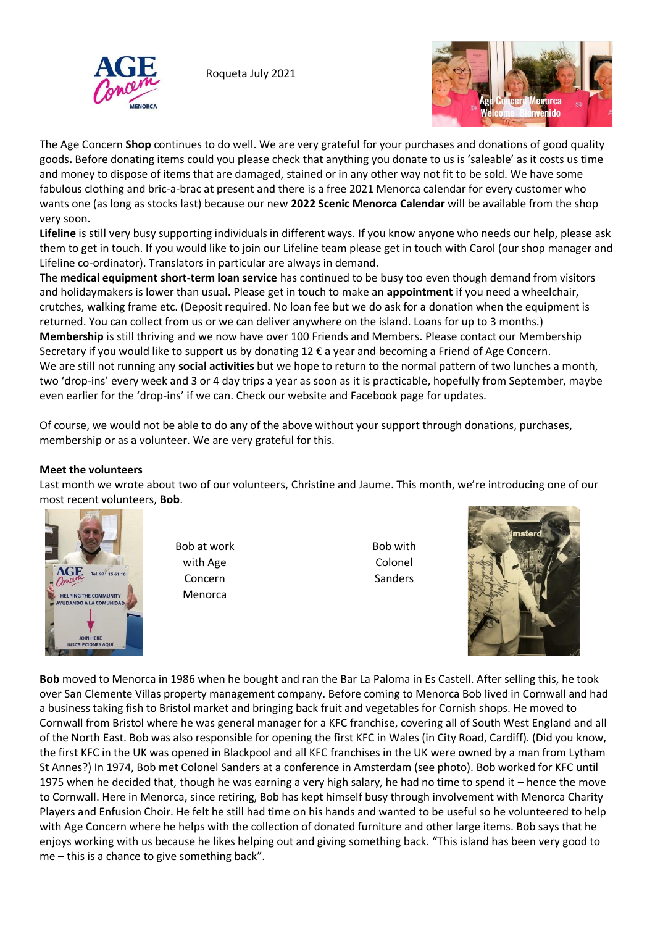

Roqueta July 2021



The Age Concern **Shop** continues to do well. We are very grateful for your purchases and donations of good quality goods**.** Before donating items could you please check that anything you donate to us is 'saleable' as it costs us time and money to dispose of items that are damaged, stained or in any other way not fit to be sold. We have some fabulous clothing and bric-a-brac at present and there is a free 2021 Menorca calendar for every customer who wants one (as long as stocks last) because our new **2022 Scenic Menorca Calendar** will be available from the shop very soon.

**Lifeline** is still very busy supporting individuals in different ways. If you know anyone who needs our help, please ask them to get in touch. If you would like to join our Lifeline team please get in touch with Carol (our shop manager and Lifeline co-ordinator). Translators in particular are always in demand.

The **medical equipment short-term loan service** has continued to be busy too even though demand from visitors and holidaymakers is lower than usual. Please get in touch to make an **appointment** if you need a wheelchair, crutches, walking frame etc. (Deposit required. No loan fee but we do ask for a donation when the equipment is returned. You can collect from us or we can deliver anywhere on the island. Loans for up to 3 months.) **Membership** is still thriving and we now have over 100 Friends and Members. Please contact our Membership Secretary if you would like to support us by donating 12 € a year and becoming a Friend of Age Concern. We are still not running any **social activities** but we hope to return to the normal pattern of two lunches a month, two 'drop-ins' every week and 3 or 4 day trips a year as soon as it is practicable, hopefully from September, maybe even earlier for the 'drop-ins' if we can. Check our website and Facebook page for updates.

Of course, we would not be able to do any of the above without your support through donations, purchases, membership or as a volunteer. We are very grateful for this.

## **Meet the volunteers**

Last month we wrote about two of our volunteers, Christine and Jaume. This month, we're introducing one of our most recent volunteers, **Bob**.



Bob at work with Age Concern Menorca

Bob with Colonel Sanders



**Bob** moved to Menorca in 1986 when he bought and ran the Bar La Paloma in Es Castell. After selling this, he took over San Clemente Villas property management company. Before coming to Menorca Bob lived in Cornwall and had a business taking fish to Bristol market and bringing back fruit and vegetables for Cornish shops. He moved to Cornwall from Bristol where he was general manager for a KFC franchise, covering all of South West England and all of the North East. Bob was also responsible for opening the first KFC in Wales (in City Road, Cardiff). (Did you know, the first KFC in the UK was opened in Blackpool and all KFC franchises in the UK were owned by a man from Lytham St Annes?) In 1974, Bob met Colonel Sanders at a conference in Amsterdam (see photo). Bob worked for KFC until 1975 when he decided that, though he was earning a very high salary, he had no time to spend it – hence the move to Cornwall. Here in Menorca, since retiring, Bob has kept himself busy through involvement with Menorca Charity Players and Enfusion Choir. He felt he still had time on his hands and wanted to be useful so he volunteered to help with Age Concern where he helps with the collection of donated furniture and other large items. Bob says that he enjoys working with us because he likes helping out and giving something back. "This island has been very good to me – this is a chance to give something back".